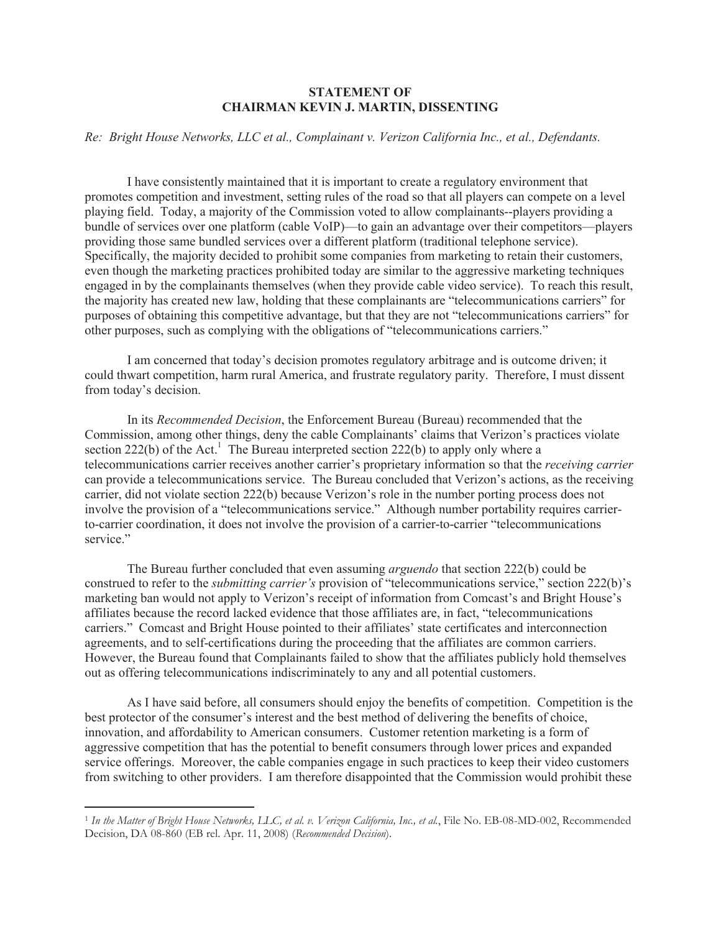## **STATEMENT OF CHAIRMAN KEVIN J. MARTIN, DISSENTING**

## *Re: Bright House Networks, LLC et al., Complainant v. Verizon California Inc., et al., Defendants.*

I have consistently maintained that it is important to create a regulatory environment that promotes competition and investment, setting rules of the road so that all players can compete on a level playing field. Today, a majority of the Commission voted to allow complainants--players providing a bundle of services over one platform (cable VoIP)—to gain an advantage over their competitors—players providing those same bundled services over a different platform (traditional telephone service). Specifically, the majority decided to prohibit some companies from marketing to retain their customers, even though the marketing practices prohibited today are similar to the aggressive marketing techniques engaged in by the complainants themselves (when they provide cable video service). To reach this result, the majority has created new law, holding that these complainants are "telecommunications carriers" for purposes of obtaining this competitive advantage, but that they are not "telecommunications carriers" for other purposes, such as complying with the obligations of "telecommunications carriers."

I am concerned that today's decision promotes regulatory arbitrage and is outcome driven; it could thwart competition, harm rural America, and frustrate regulatory parity. Therefore, I must dissent from today's decision.

In its *Recommended Decision*, the Enforcement Bureau (Bureau) recommended that the Commission, among other things, deny the cable Complainants' claims that Verizon's practices violate section 222(b) of the Act.<sup>1</sup> The Bureau interpreted section 222(b) to apply only where a telecommunications carrier receives another carrier's proprietary information so that the *receiving carrier* can provide a telecommunications service. The Bureau concluded that Verizon's actions, as the receiving carrier, did not violate section 222(b) because Verizon's role in the number porting process does not involve the provision of a "telecommunications service." Although number portability requires carrierto-carrier coordination, it does not involve the provision of a carrier-to-carrier "telecommunications service."

The Bureau further concluded that even assuming *arguendo* that section 222(b) could be construed to refer to the *submitting carrier's* provision of "telecommunications service," section 222(b)'s marketing ban would not apply to Verizon's receipt of information from Comcast's and Bright House's affiliates because the record lacked evidence that those affiliates are, in fact, "telecommunications carriers." Comcast and Bright House pointed to their affiliates' state certificates and interconnection agreements, and to self-certifications during the proceeding that the affiliates are common carriers. However, the Bureau found that Complainants failed to show that the affiliates publicly hold themselves out as offering telecommunications indiscriminately to any and all potential customers.

As I have said before, all consumers should enjoy the benefits of competition. Competition is the best protector of the consumer's interest and the best method of delivering the benefits of choice, innovation, and affordability to American consumers. Customer retention marketing is a form of aggressive competition that has the potential to benefit consumers through lower prices and expanded service offerings. Moreover, the cable companies engage in such practices to keep their video customers from switching to other providers. I am therefore disappointed that the Commission would prohibit these

<sup>1</sup> *In the Matter of Bright House Networks, LLC, et al. v. Verizon California, Inc., et al.*, File No. EB-08-MD-002, Recommended Decision, DA 08-860 (EB rel. Apr. 11, 2008) (*Recommended Decision*).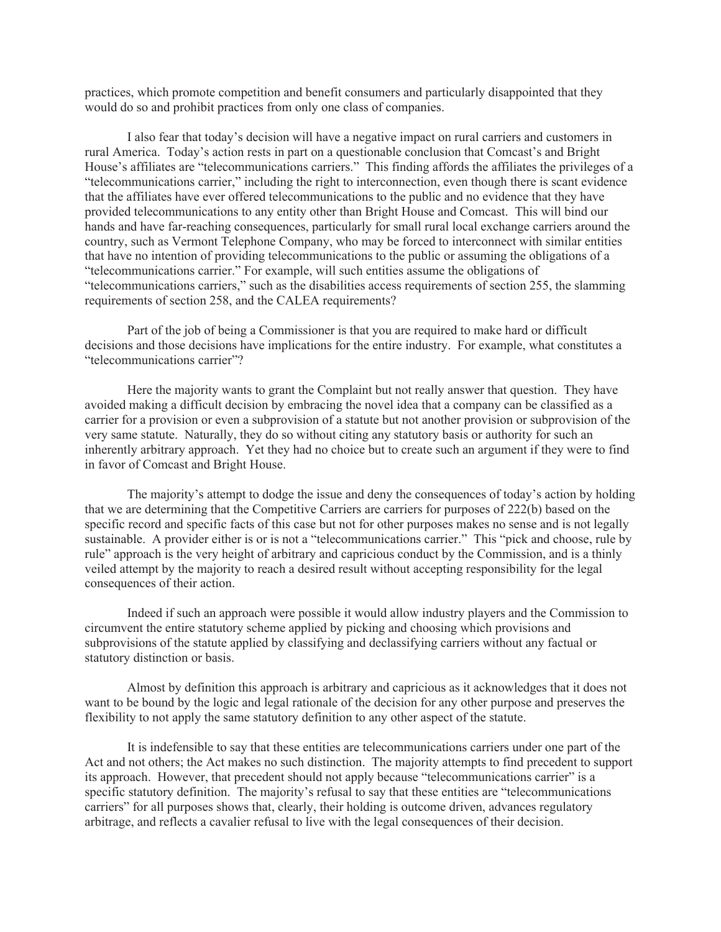practices, which promote competition and benefit consumers and particularly disappointed that they would do so and prohibit practices from only one class of companies.

I also fear that today's decision will have a negative impact on rural carriers and customers in rural America. Today's action rests in part on a questionable conclusion that Comcast's and Bright House's affiliates are "telecommunications carriers." This finding affords the affiliates the privileges of a "telecommunications carrier," including the right to interconnection, even though there is scant evidence that the affiliates have ever offered telecommunications to the public and no evidence that they have provided telecommunications to any entity other than Bright House and Comcast. This will bind our hands and have far-reaching consequences, particularly for small rural local exchange carriers around the country, such as Vermont Telephone Company, who may be forced to interconnect with similar entities that have no intention of providing telecommunications to the public or assuming the obligations of a "telecommunications carrier." For example, will such entities assume the obligations of "telecommunications carriers," such as the disabilities access requirements of section 255, the slamming requirements of section 258, and the CALEA requirements?

Part of the job of being a Commissioner is that you are required to make hard or difficult decisions and those decisions have implications for the entire industry. For example, what constitutes a "telecommunications carrier"?

Here the majority wants to grant the Complaint but not really answer that question. They have avoided making a difficult decision by embracing the novel idea that a company can be classified as a carrier for a provision or even a subprovision of a statute but not another provision or subprovision of the very same statute. Naturally, they do so without citing any statutory basis or authority for such an inherently arbitrary approach. Yet they had no choice but to create such an argument if they were to find in favor of Comcast and Bright House.

The majority's attempt to dodge the issue and deny the consequences of today's action by holding that we are determining that the Competitive Carriers are carriers for purposes of 222(b) based on the specific record and specific facts of this case but not for other purposes makes no sense and is not legally sustainable. A provider either is or is not a "telecommunications carrier." This "pick and choose, rule by rule" approach is the very height of arbitrary and capricious conduct by the Commission, and is a thinly veiled attempt by the majority to reach a desired result without accepting responsibility for the legal consequences of their action.

Indeed if such an approach were possible it would allow industry players and the Commission to circumvent the entire statutory scheme applied by picking and choosing which provisions and subprovisions of the statute applied by classifying and declassifying carriers without any factual or statutory distinction or basis.

Almost by definition this approach is arbitrary and capricious as it acknowledges that it does not want to be bound by the logic and legal rationale of the decision for any other purpose and preserves the flexibility to not apply the same statutory definition to any other aspect of the statute.

It is indefensible to say that these entities are telecommunications carriers under one part of the Act and not others; the Act makes no such distinction. The majority attempts to find precedent to support its approach. However, that precedent should not apply because "telecommunications carrier" is a specific statutory definition. The majority's refusal to say that these entities are "telecommunications carriers" for all purposes shows that, clearly, their holding is outcome driven, advances regulatory arbitrage, and reflects a cavalier refusal to live with the legal consequences of their decision.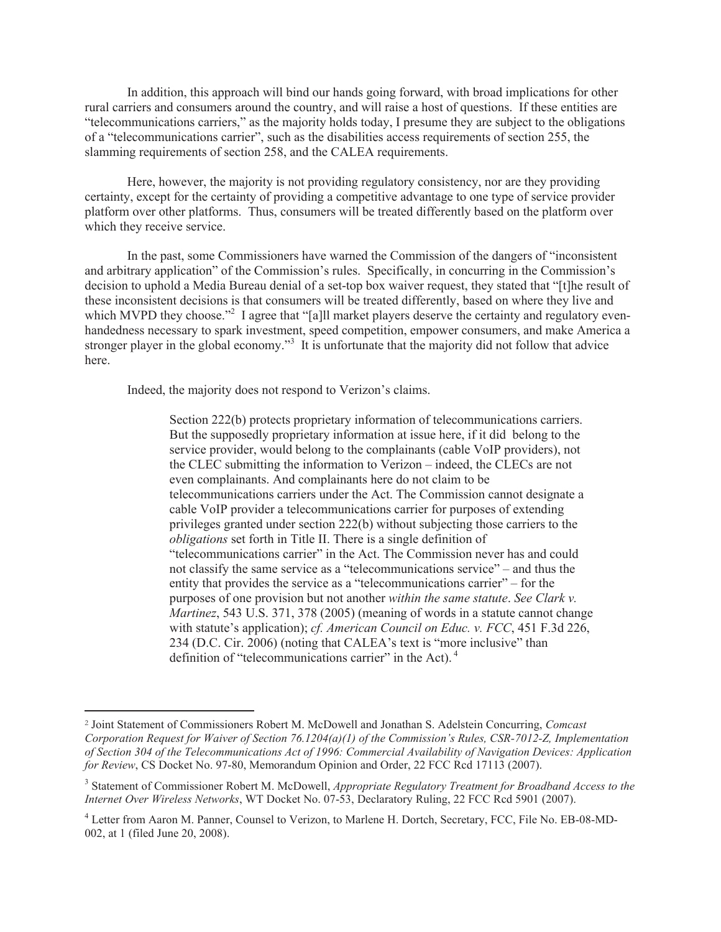In addition, this approach will bind our hands going forward, with broad implications for other rural carriers and consumers around the country, and will raise a host of questions. If these entities are "telecommunications carriers," as the majority holds today, I presume they are subject to the obligations of a "telecommunications carrier", such as the disabilities access requirements of section 255, the slamming requirements of section 258, and the CALEA requirements.

Here, however, the majority is not providing regulatory consistency, nor are they providing certainty, except for the certainty of providing a competitive advantage to one type of service provider platform over other platforms. Thus, consumers will be treated differently based on the platform over which they receive service.

In the past, some Commissioners have warned the Commission of the dangers of "inconsistent and arbitrary application" of the Commission's rules. Specifically, in concurring in the Commission's decision to uphold a Media Bureau denial of a set-top box waiver request, they stated that "[t]he result of these inconsistent decisions is that consumers will be treated differently, based on where they live and which MVPD they choose."<sup>2</sup> I agree that "[a]ll market players deserve the certainty and regulatory evenhandedness necessary to spark investment, speed competition, empower consumers, and make America a stronger player in the global economy."<sup>3</sup> It is unfortunate that the majority did not follow that advice here.

Indeed, the majority does not respond to Verizon's claims.

Section 222(b) protects proprietary information of telecommunications carriers. But the supposedly proprietary information at issue here, if it did belong to the service provider, would belong to the complainants (cable VoIP providers), not the CLEC submitting the information to Verizon – indeed, the CLECs are not even complainants. And complainants here do not claim to be telecommunications carriers under the Act. The Commission cannot designate a cable VoIP provider a telecommunications carrier for purposes of extending privileges granted under section 222(b) without subjecting those carriers to the *obligations* set forth in Title II. There is a single definition of "telecommunications carrier" in the Act. The Commission never has and could not classify the same service as a "telecommunications service" – and thus the entity that provides the service as a "telecommunications carrier" – for the purposes of one provision but not another *within the same statute*. *See Clark v. Martinez*, 543 U.S. 371, 378 (2005) (meaning of words in a statute cannot change with statute's application); *cf. American Council on Educ. v. FCC*, 451 F.3d 226, 234 (D.C. Cir. 2006) (noting that CALEA's text is "more inclusive" than definition of "telecommunications carrier" in the Act). <sup>4</sup>

<sup>2</sup> Joint Statement of Commissioners Robert M. McDowell and Jonathan S. Adelstein Concurring, *Comcast Corporation Request for Waiver of Section 76.1204(a)(1) of the Commission's Rules, CSR-7012-Z, Implementation of Section 304 of the Telecommunications Act of 1996: Commercial Availability of Navigation Devices: Application for Review*, CS Docket No. 97-80, Memorandum Opinion and Order, 22 FCC Rcd 17113 (2007).

<sup>&</sup>lt;sup>3</sup> Statement of Commissioner Robert M. McDowell, *Appropriate Regulatory Treatment for Broadband Access to the Internet Over Wireless Networks*, WT Docket No. 07-53, Declaratory Ruling, 22 FCC Rcd 5901 (2007).

<sup>4</sup> Letter from Aaron M. Panner, Counsel to Verizon, to Marlene H. Dortch, Secretary, FCC, File No. EB-08-MD-002, at 1 (filed June 20, 2008).